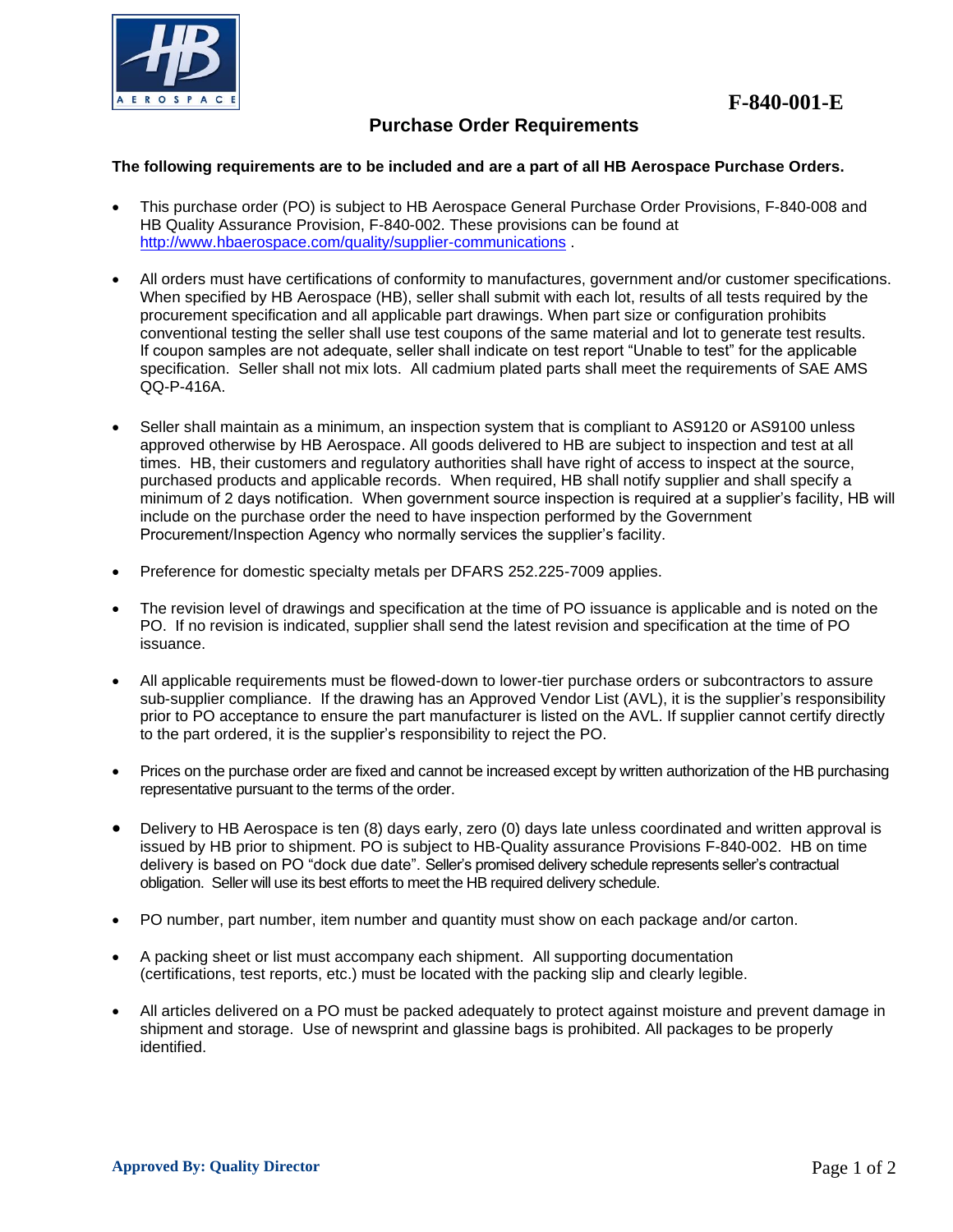

## **Purchase Order Requirements**

## **The following requirements are to be included and are a part of all HB Aerospace Purchase Orders.**

- This purchase order (PO) is subject to HB Aerospace General Purchase Order Provisions, F-840-008 and HB Quality Assurance Provision, F-840-002. These provisions can be found at <http://www.hbaerospace.com/quality/supplier-communications> .
- All orders must have certifications of conformity to manufactures, government and/or customer specifications. When specified by HB Aerospace (HB), seller shall submit with each lot, results of all tests required by the procurement specification and all applicable part drawings. When part size or configuration prohibits conventional testing the seller shall use test coupons of the same material and lot to generate test results. If coupon samples are not adequate, seller shall indicate on test report "Unable to test" for the applicable specification. Seller shall not mix lots. All cadmium plated parts shall meet the requirements of SAE AMS QQ-P-416A.
- Seller shall maintain as a minimum, an inspection system that is compliant to AS9120 or AS9100 unless approved otherwise by HB Aerospace. All goods delivered to HB are subject to inspection and test at all times. HB, their customers and regulatory authorities shall have right of access to inspect at the source, purchased products and applicable records. When required, HB shall notify supplier and shall specify a minimum of 2 days notification. When government source inspection is required at a supplier's facility, HB will include on the purchase order the need to have inspection performed by the Government Procurement/Inspection Agency who normally services the supplier's facility.
- Preference for domestic specialty metals per DFARS 252.225-7009 applies.
- The revision level of drawings and specification at the time of PO issuance is applicable and is noted on the PO. If no revision is indicated, supplier shall send the latest revision and specification at the time of PO issuance.
- All applicable requirements must be flowed-down to lower-tier purchase orders or subcontractors to assure sub-supplier compliance. If the drawing has an Approved Vendor List (AVL), it is the supplier's responsibility prior to PO acceptance to ensure the part manufacturer is listed on the AVL. If supplier cannot certify directly to the part ordered, it is the supplier's responsibility to reject the PO.
- Prices on the purchase order are fixed and cannot be increased except by written authorization of the HB purchasing representative pursuant to the terms of the order.
- Delivery to HB Aerospace is ten (8) days early, zero (0) days late unless coordinated and written approval is issued by HB prior to shipment. PO is subject to HB-Quality assurance Provisions F-840-002. HB on time delivery is based on PO "dock due date". Seller's promised delivery schedule represents seller's contractual obligation. Seller will use its best efforts to meet the HB required delivery schedule.
- PO number, part number, item number and quantity must show on each package and/or carton.
- A packing sheet or list must accompany each shipment. All supporting documentation (certifications, test reports, etc.) must be located with the packing slip and clearly legible.
- All articles delivered on a PO must be packed adequately to protect against moisture and prevent damage in shipment and storage. Use of newsprint and glassine bags is prohibited. All packages to be properly identified.